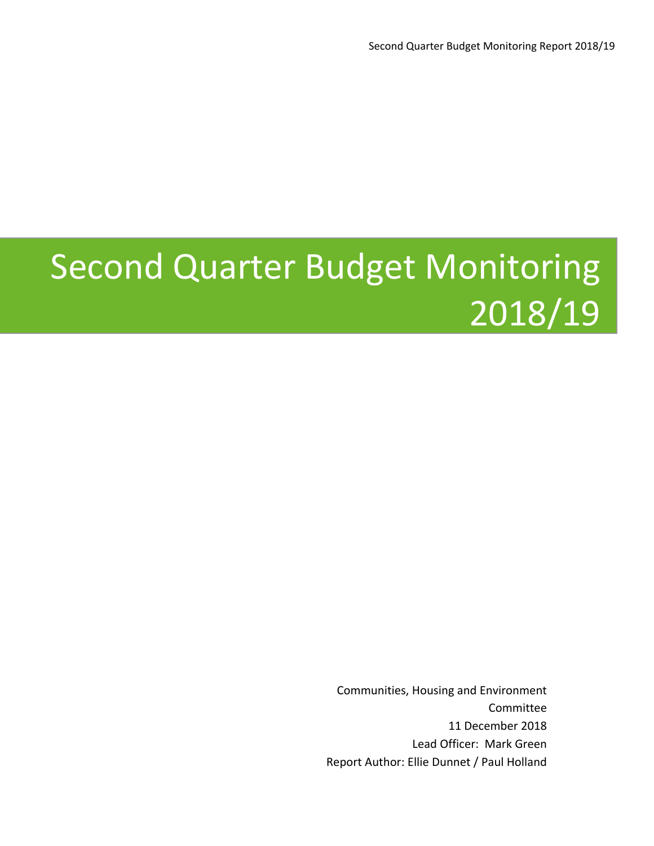# Second Quarter Budget Monitoring 2018/19

Communities, Housing and Environment Committee 11 December 2018 Lead Officer: Mark Green Report Author: Ellie Dunnet / Paul Holland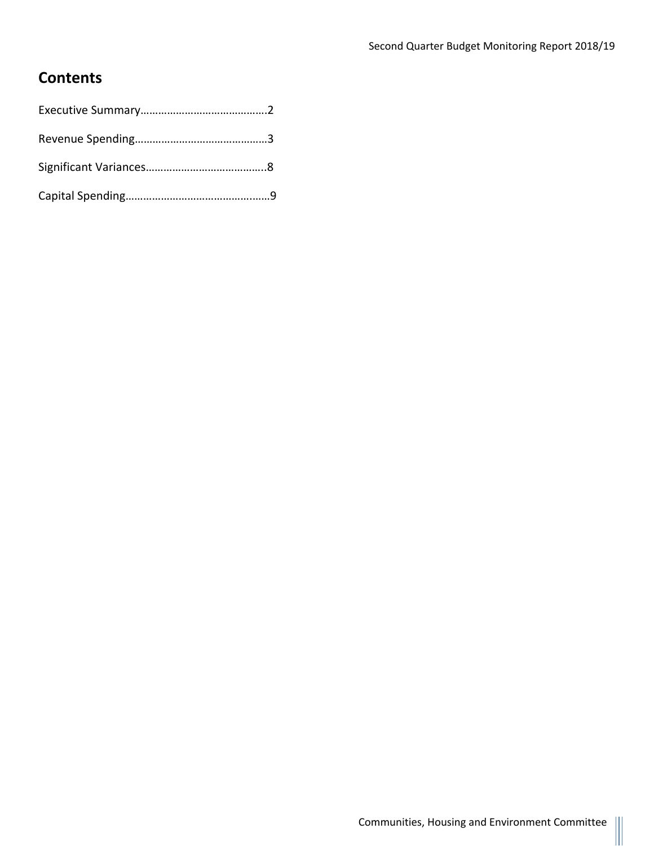### **Contents**

Ш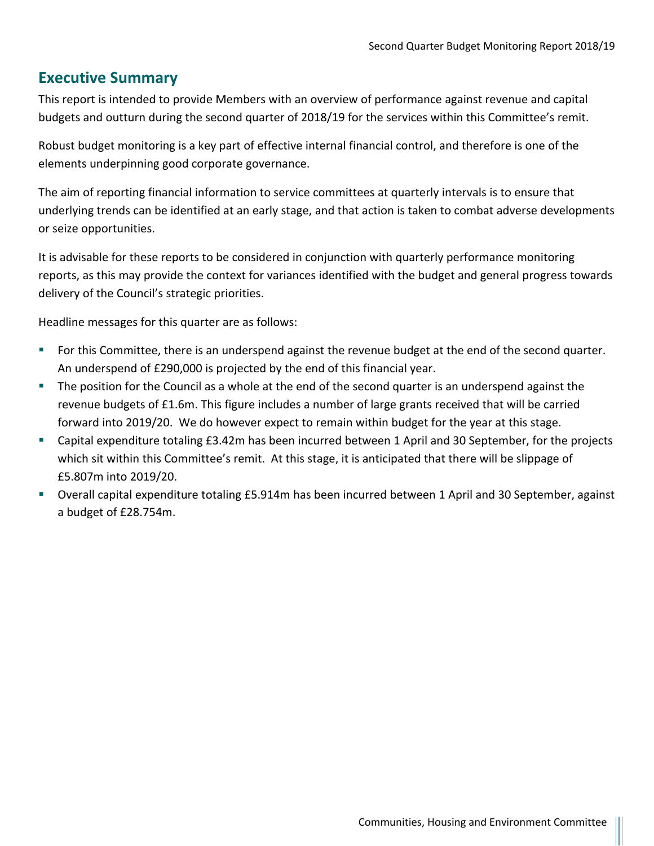#### **Executive Summary**

This report is intended to provide Members with an overview of performance against revenue and capital budgets and outturn during the second quarter of 2018/19 for the services within this Committee's remit.

Robust budget monitoring is a key part of effective internal financial control, and therefore is one of the elements underpinning good corporate governance.

The aim of reporting financial information to service committees at quarterly intervals is to ensure that underlying trends can be identified at an early stage, and that action is taken to combat adverse developments or seize opportunities.

It is advisable for these reports to be considered in conjunction with quarterly performance monitoring reports, as this may provide the context for variances identified with the budget and general progress towards delivery of the Council's strategic priorities.

Headline messages for this quarter are as follows:

- For this Committee, there is an underspend against the revenue budget at the end of the second quarter. An underspend of £290,000 is projected by the end of this financial year.
- The position for the Council as a whole at the end of the second quarter is an underspend against the revenue budgets of £1.6m. This figure includes a number of large grants received that will be carried forward into 2019/20. We do however expect to remain within budget for the year at this stage.
- Capital expenditure totaling £3.42m has been incurred between 1 April and 30 September, for the projects which sit within this Committee's remit. At this stage, it is anticipated that there will be slippage of £5.807m into 2019/20.
- Overall capital expenditure totaling £5.914m has been incurred between 1 April and 30 September, against a budget of £28.754m.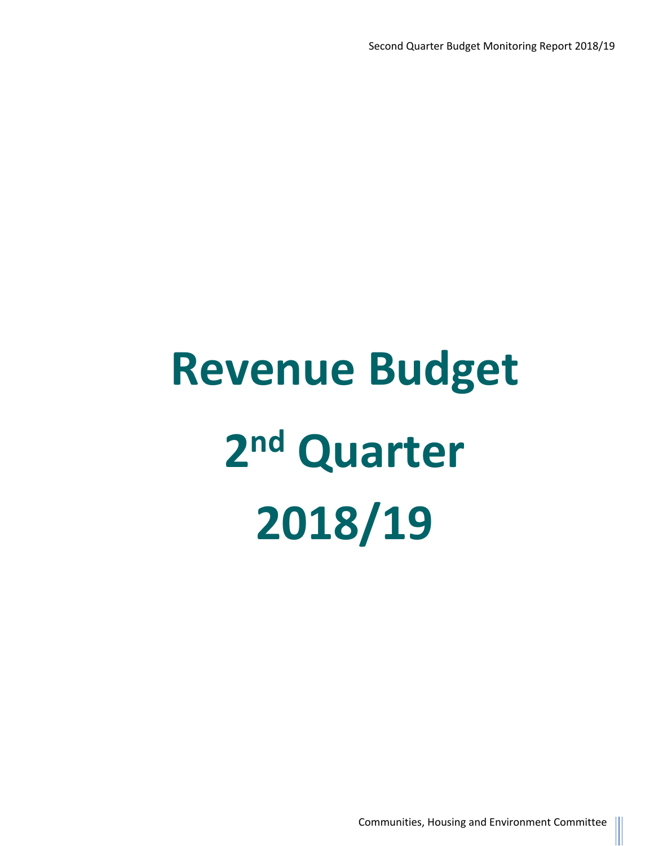# **Revenue Budget 2 nd Quarter 2018/19**

Communities, Housing and Environment Committee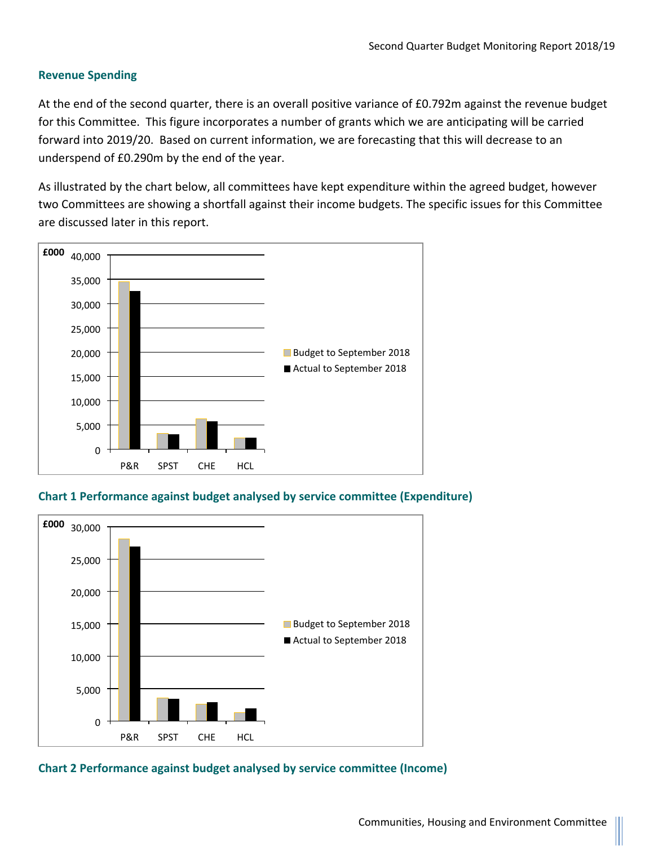#### **Revenue Spending**

At the end of the second quarter, there is an overall positive variance of £0.792m against the revenue budget for this Committee. This figure incorporates a number of grants which we are anticipating will be carried forward into 2019/20. Based on current information, we are forecasting that this will decrease to an underspend of £0.290m by the end of the year.

As illustrated by the chart below, all committees have kept expenditure within the agreed budget, however two Committees are showing a shortfall against their income budgets. The specific issues for this Committee are discussed later in this report.



**Chart 1 Performance against budget analysed by service committee (Expenditure)**



**Chart 2 Performance against budget analysed by service committee (Income)**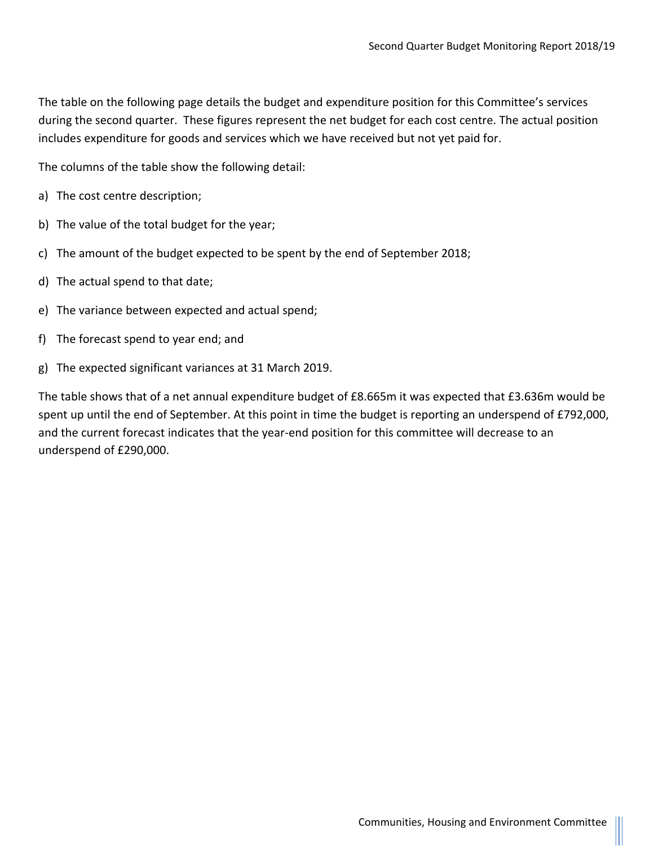The table on the following page details the budget and expenditure position for this Committee's services during the second quarter. These figures represent the net budget for each cost centre. The actual position includes expenditure for goods and services which we have received but not yet paid for.

The columns of the table show the following detail:

- a) The cost centre description;
- b) The value of the total budget for the year;
- c) The amount of the budget expected to be spent by the end of September 2018;
- d) The actual spend to that date;
- e) The variance between expected and actual spend;
- f) The forecast spend to year end; and
- g) The expected significant variances at 31 March 2019.

The table shows that of a net annual expenditure budget of £8.665m it was expected that £3.636m would be spent up until the end of September. At this point in time the budget is reporting an underspend of £792,000, and the current forecast indicates that the year-end position for this committee will decrease to an underspend of £290,000.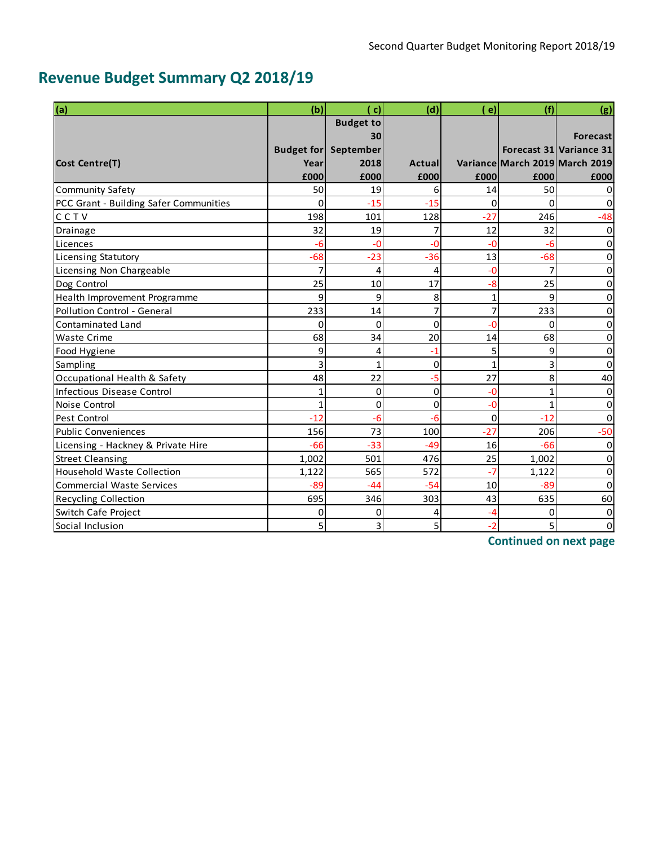# **Revenue Budget Summary Q2 2018/19**

| (a)                                    | (b)      | $\mathbf{c}$                | (d)      | $\epsilon$   | (f)                            | (g)                     |
|----------------------------------------|----------|-----------------------------|----------|--------------|--------------------------------|-------------------------|
|                                        |          | <b>Budget to</b>            |          |              |                                |                         |
|                                        |          | 30                          |          |              |                                | <b>Forecast</b>         |
|                                        |          | <b>Budget for September</b> |          |              |                                | Forecast 31 Variance 31 |
| <b>Cost Centre(T)</b>                  | Year     | 2018                        | Actuall  |              | Variance March 2019 March 2019 |                         |
|                                        | £000     | £000                        | £000     | £000         | £000                           | £000                    |
| <b>Community Safety</b>                | 50       | 19                          | 6        | 14           | 50                             | 0                       |
| PCC Grant - Building Safer Communities | $\Omega$ | $-15$                       | $-15$    | $\mathbf 0$  | $\Omega$                       | 0                       |
| CCTV                                   | 198      | 101                         | 128      | $-27$        | 246                            | $-48$                   |
| Drainage                               | 32       | 19                          | 7        | 12           | 32                             | $\Omega$                |
| Licences                               | -6       | $-0$                        | -0       | $-0$         | $-6$                           | 0                       |
| <b>Licensing Statutory</b>             | $-68$    | $-23$                       | $-36$    | 13           | $-68$                          | 0                       |
| <b>Licensing Non Chargeable</b>        |          | $\overline{4}$              | 4        | $-0$         | 7                              | 0                       |
| Dog Control                            | 25       | 10                          | 17       | -8           | 25                             | 0                       |
| Health Improvement Programme           | 9        | 9                           | 8        | $\mathbf{1}$ | 9                              | 0                       |
| Pollution Control - General            | 233      | 14                          | 7        | 7            | 233                            | 0                       |
| <b>Contaminated Land</b>               | 0        | 0                           | 0        | -0           | $\mathbf 0$                    | 0                       |
| <b>Waste Crime</b>                     | 68       | 34                          | 20       | 14           | 68                             | 0                       |
| Food Hygiene                           | 9        | 4                           | -1       | 5            | 9                              | 0                       |
| Sampling                               | 3        | 1                           | 0        | 1            | 3                              | 0                       |
| Occupational Health & Safety           | 48       | 22                          | -5       | 27           | 8                              | 40                      |
| Infectious Disease Control             |          | $\Omega$                    | $\Omega$ | $-0$         | $\mathbf{1}$                   | 0                       |
| Noise Control                          | 1        | 0                           | 0        | $-0$         | 1                              | 0                       |
| <b>Pest Control</b>                    | $-12$    | $-6$                        | -6       | $\mathbf 0$  | $-12$                          | $\mathbf 0$             |
| <b>Public Conveniences</b>             | 156      | 73                          | 100      | $-27$        | 206                            | $-50$                   |
| Licensing - Hackney & Private Hire     | $-66$    | $-33$                       | $-49$    | 16           | $-66$                          | 0                       |
| <b>Street Cleansing</b>                | 1,002    | 501                         | 476      | 25           | 1,002                          | $\Omega$                |
| <b>Household Waste Collection</b>      | 1,122    | 565                         | 572      | $-7$         | 1,122                          | 0                       |
| <b>Commercial Waste Services</b>       | $-89$    | $-44$                       | $-54$    | 10           | $-89$                          | $\Omega$                |
| Recycling Collection                   | 695      | 346                         | 303      | 43           | 635                            | 60                      |
| Switch Cafe Project                    | 0        | 0                           | 4        | -4           | 0                              | 0                       |
| Social Inclusion                       | 5        | 3                           | 5        | $-2$         | 5                              | $\mathbf 0$             |

**Continued on next page**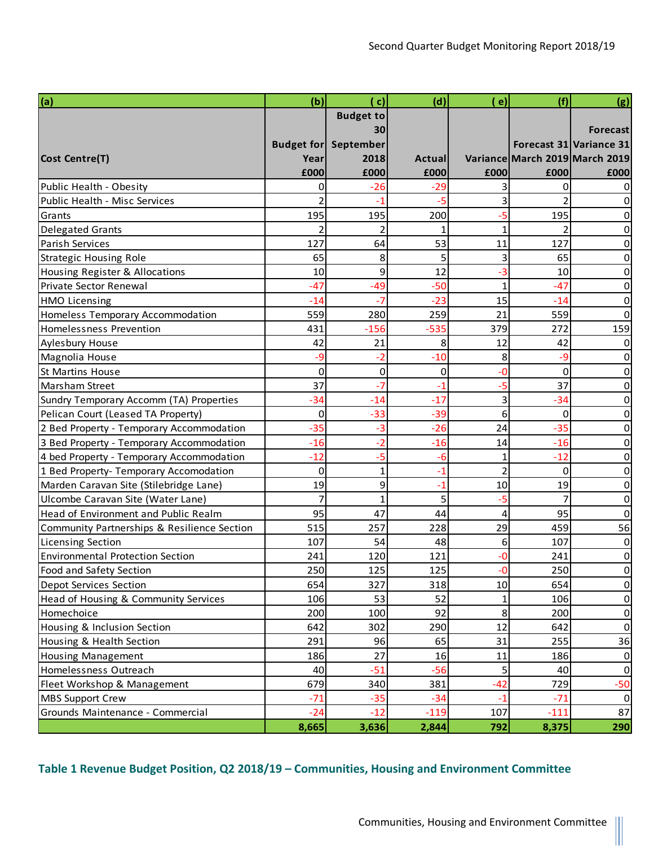| (a)                                         | (b)   | ( c)                        | (d)           | ( e)           | (f)    | (g)                            |
|---------------------------------------------|-------|-----------------------------|---------------|----------------|--------|--------------------------------|
|                                             |       | <b>Budget to</b>            |               |                |        |                                |
|                                             |       | 30                          |               |                |        | <b>Forecast</b>                |
|                                             |       | <b>Budget for September</b> |               |                |        | Forecast 31 Variance 31        |
| Cost Centre(T)                              | Year  | 2018                        | <b>Actual</b> |                |        | Variance March 2019 March 2019 |
|                                             | £000  | £000                        | £000          | £000           | £000   | £000                           |
| Public Health - Obesity                     | ი     | $-26$                       | $-29$         |                | 0      |                                |
| Public Health - Misc Services               |       | -1                          | $-5$          | 3              |        |                                |
| Grants                                      | 195   | 195                         | 200           | -5             | 195    |                                |
| <b>Delegated Grants</b>                     | 2     | $\overline{2}$              | 1             | $\mathbf{1}$   | 2      | 0                              |
| Parish Services                             | 127   | 64                          | 53            | 11             | 127    | 0                              |
| <b>Strategic Housing Role</b>               | 65    | 8                           | 5             | 3              | 65     | 0                              |
| Housing Register & Allocations              | 10    | 9                           | 12            | -3             | 10     | 0                              |
| Private Sector Renewal                      | $-47$ | $-49$                       | $-50$         | 1              | $-47$  | 0                              |
| <b>HMO Licensing</b>                        | $-14$ | -7                          | $-23$         | 15             | $-14$  | 0                              |
| Homeless Temporary Accommodation            | 559   | 280                         | 259           | 21             | 559    | 0                              |
| Homelessness Prevention                     | 431   | $-156$                      | $-535$        | 379            | 272    | 159                            |
| Aylesbury House                             | 42    | 21                          | 8             | 12             | 42     |                                |
| Magnolia House                              | -9    | $-2$                        | $-10$         | 8              | $-9$   | 0                              |
| <b>St Martins House</b>                     | 0     | $\mathbf 0$                 | 0             | -0             | 0      | 0                              |
| <b>Marsham Street</b>                       | 37    | $-7$                        | $-1$          | $-5$           | 37     | 0                              |
| Sundry Temporary Accomm (TA) Properties     | $-34$ | $-14$                       | $-17$         | 3              | $-34$  | 0                              |
| Pelican Court (Leased TA Property)          | 0     | $-33$                       | $-39$         | 6              | 0      | 0                              |
| 2 Bed Property - Temporary Accommodation    | $-35$ | -3                          | $-26$         | 24             | $-35$  | 0                              |
| 3 Bed Property - Temporary Accommodation    | $-16$ | -2                          | $-16$         | 14             | $-16$  | 0                              |
| 4 bed Property - Temporary Accommodation    | $-12$ | -5                          | $-6$          | 1              | $-12$  | 0                              |
| 1 Bed Property- Temporary Accomodation      | 0     | 1                           | $-1$          | $\overline{a}$ | 0      | 0                              |
| Marden Caravan Site (Stilebridge Lane)      | 19    | 9                           | $-1$          | 10             | 19     | $\Omega$                       |
| Ulcombe Caravan Site (Water Lane)           | 7     | 1                           | 5             | $-5$           | 7      | 0                              |
| Head of Environment and Public Realm        | 95    | 47                          | 44            | $\overline{4}$ | 95     | $\Omega$                       |
| Community Partnerships & Resilience Section | 515   | 257                         | 228           | 29             | 459    | 56                             |
| <b>Licensing Section</b>                    | 107   | 54                          | 48            | 6              | 107    | 0                              |
| <b>Environmental Protection Section</b>     | 241   | 120                         | 121           | -0             | 241    | 0                              |
| Food and Safety Section                     | 250   | 125                         | 125           | ٥.             | 250    | 0                              |
| <b>Depot Services Section</b>               | 654   | 327                         | 318           | 10             | 654    | $\overline{0}$                 |
| Head of Housing & Community Services        | 106   | 53                          | 52            | 1              | 106    | $\overline{0}$                 |
| Homechoice                                  | 200   | 100                         | 92            | 8              | 200    | $\overline{0}$                 |
| Housing & Inclusion Section                 | 642   | 302                         | 290           | 12             | 642    | $\overline{0}$                 |
| Housing & Health Section                    | 291   | 96                          | 65            | 31             | 255    | 36                             |
| <b>Housing Management</b>                   | 186   | 27                          | 16            | 11             | 186    | 0                              |
| Homelessness Outreach                       | 40    | $-51$                       | $-56$         | 5              | 40     | 0                              |
| Fleet Workshop & Management                 | 679   | 340                         | 381           | $-42$          | 729    | $-50$                          |
| <b>MBS Support Crew</b>                     | $-71$ | $-35$                       | $-34$         | $-1$           | $-71$  | $\vert 0 \vert$                |
| Grounds Maintenance - Commercial            | $-24$ | $-12$                       | $-119$        | 107            | $-111$ | 87                             |
|                                             | 8,665 | 3,636                       | 2,844         | 792            | 8,375  | 290                            |

#### **Table 1 Revenue Budget Position, Q2 2018/19 – Communities, Housing and Environment Committee**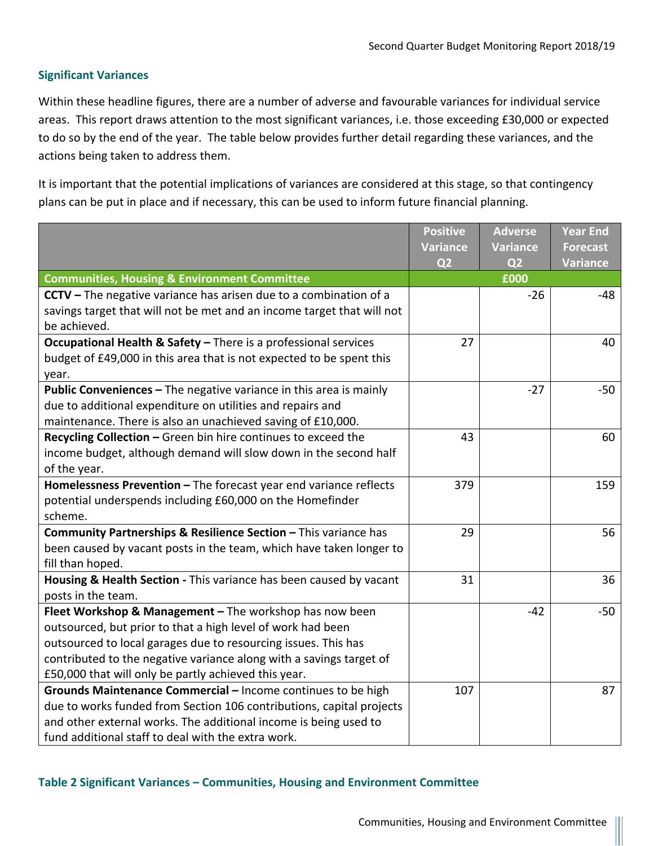#### **Significant Variances**

Within these headline figures, there are a number of adverse and favourable variances for individual service areas. This report draws attention to the most significant variances, i.e. those exceeding £30,000 or expected to do so by the end of the year. The table below provides further detail regarding these variances, and the actions being taken to address them.

It is important that the potential implications of variances are considered at this stage, so that contingency plans can be put in place and if necessary, this can be used to inform future financial planning.

|                                                                        | <b>Positive</b> | <b>Adverse</b>  | <b>Year End</b> |
|------------------------------------------------------------------------|-----------------|-----------------|-----------------|
|                                                                        | <b>Variance</b> | <b>Variance</b> | <b>Forecast</b> |
|                                                                        | Q <sub>2</sub>  | Q <sub>2</sub>  | <b>Variance</b> |
| <b>Communities, Housing &amp; Environment Committee</b>                |                 | £000            |                 |
| CCTV - The negative variance has arisen due to a combination of a      |                 | $-26$           | -48             |
| savings target that will not be met and an income target that will not |                 |                 |                 |
| be achieved.                                                           |                 |                 |                 |
| Occupational Health & Safety - There is a professional services        | 27              |                 | 40              |
| budget of £49,000 in this area that is not expected to be spent this   |                 |                 |                 |
| year.                                                                  |                 |                 |                 |
| Public Conveniences - The negative variance in this area is mainly     |                 | $-27$           | $-50$           |
| due to additional expenditure on utilities and repairs and             |                 |                 |                 |
| maintenance. There is also an unachieved saving of £10,000.            |                 |                 |                 |
| Recycling Collection - Green bin hire continues to exceed the          | 43              |                 | 60              |
| income budget, although demand will slow down in the second half       |                 |                 |                 |
| of the year.                                                           |                 |                 |                 |
| Homelessness Prevention - The forecast year end variance reflects      | 379             |                 | 159             |
| potential underspends including £60,000 on the Homefinder              |                 |                 |                 |
| scheme.                                                                |                 |                 |                 |
| Community Partnerships & Resilience Section - This variance has        | 29              |                 | 56              |
| been caused by vacant posts in the team, which have taken longer to    |                 |                 |                 |
| fill than hoped.                                                       |                 |                 |                 |
| Housing & Health Section - This variance has been caused by vacant     | 31              |                 | 36              |
| posts in the team.                                                     |                 |                 |                 |
| Fleet Workshop & Management - The workshop has now been                |                 | $-42$           | $-50$           |
| outsourced, but prior to that a high level of work had been            |                 |                 |                 |
| outsourced to local garages due to resourcing issues. This has         |                 |                 |                 |
| contributed to the negative variance along with a savings target of    |                 |                 |                 |
| £50,000 that will only be partly achieved this year.                   |                 |                 |                 |
| Grounds Maintenance Commercial - Income continues to be high           | 107             |                 | 87              |
| due to works funded from Section 106 contributions, capital projects   |                 |                 |                 |
| and other external works. The additional income is being used to       |                 |                 |                 |
| fund additional staff to deal with the extra work.                     |                 |                 |                 |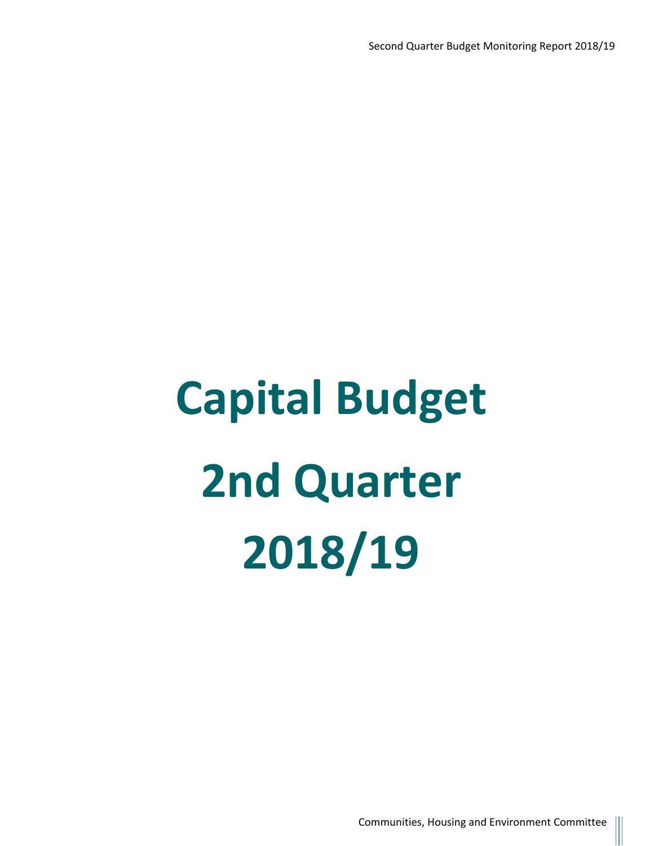# **Capital Budget 2nd Quarter 2018/19**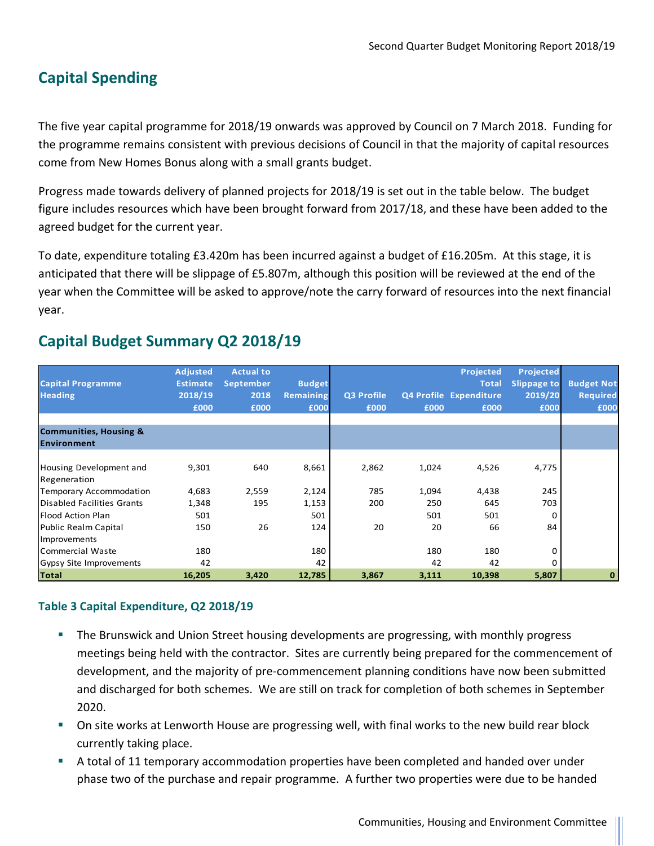## **Capital Spending**

The five year capital programme for 2018/19 onwards was approved by Council on 7 March 2018. Funding for the programme remains consistent with previous decisions of Council in that the majority of capital resources come from New Homes Bonus along with a small grants budget.

Progress made towards delivery of planned projects for 2018/19 is set out in the table below. The budget figure includes resources which have been brought forward from 2017/18, and these have been added to the agreed budget for the current year.

To date, expenditure totaling £3.420m has been incurred against a budget of £16.205m. At this stage, it is anticipated that there will be slippage of £5.807m, although this position will be reviewed at the end of the year when the Committee will be asked to approve/note the carry forward of resources into the next financial year.

| <b>Capital Programme</b><br><b>Heading</b> | <b>Adjusted</b><br><b>Estimate</b><br>2018/19<br>£000 | <b>Actual to</b><br><b>September</b><br>2018<br>£000 | <b>Budget</b><br><b>Remaining</b><br>£000 | Q3 Profile<br>£000 | £000  | Projected<br><b>Total</b><br>Q4 Profile Expenditure<br>£000 | <b>Projected</b><br><b>Slippage to</b><br>2019/20<br>£000 | <b>Budget Not</b><br><b>Required</b><br>£000 |
|--------------------------------------------|-------------------------------------------------------|------------------------------------------------------|-------------------------------------------|--------------------|-------|-------------------------------------------------------------|-----------------------------------------------------------|----------------------------------------------|
| <b>Communities, Housing &amp;</b>          |                                                       |                                                      |                                           |                    |       |                                                             |                                                           |                                              |
| Environment                                |                                                       |                                                      |                                           |                    |       |                                                             |                                                           |                                              |
| Housing Development and<br>Regeneration    | 9,301                                                 | 640                                                  | 8,661                                     | 2,862              | 1,024 | 4,526                                                       | 4,775                                                     |                                              |
| Temporary Accommodation                    | 4,683                                                 | 2,559                                                | 2,124                                     | 785                | 1,094 | 4,438                                                       | 245                                                       |                                              |
| Disabled Facilities Grants                 | 1,348                                                 | 195                                                  | 1,153                                     | 200                | 250   | 645                                                         | 703                                                       |                                              |
| <b>Flood Action Plan</b>                   | 501                                                   |                                                      | 501                                       |                    | 501   | 501                                                         | 0                                                         |                                              |
| Public Realm Capital                       | 150                                                   | 26                                                   | 124                                       | 20                 | 20    | 66                                                          | 84                                                        |                                              |
| Improvements                               |                                                       |                                                      |                                           |                    |       |                                                             |                                                           |                                              |
| lCommercial Waste                          | 180                                                   |                                                      | 180                                       |                    | 180   | 180                                                         | 0                                                         |                                              |
| Gypsy Site Improvements                    | 42                                                    |                                                      | 42                                        |                    | 42    | 42                                                          | 0                                                         |                                              |
| Total                                      | 16,205                                                | 3,420                                                | 12,785                                    | 3,867              | 3,111 | 10,398                                                      | 5,807                                                     | $\bf{0}$                                     |

### **Capital Budget Summary Q2 2018/19**

#### **Table 3 Capital Expenditure, Q2 2018/19**

- The Brunswick and Union Street housing developments are progressing, with monthly progress meetings being held with the contractor. Sites are currently being prepared for the commencement of development, and the majority of pre-commencement planning conditions have now been submitted and discharged for both schemes. We are still on track for completion of both schemes in September 2020.
- On site works at Lenworth House are progressing well, with final works to the new build rear block currently taking place.
- A total of 11 temporary accommodation properties have been completed and handed over under phase two of the purchase and repair programme. A further two properties were due to be handed